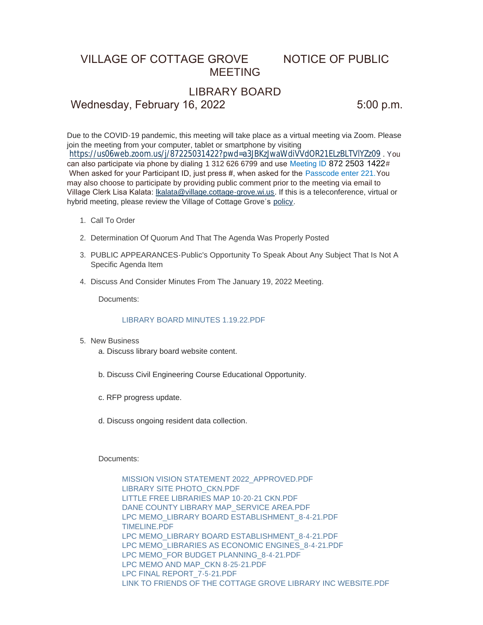# VILLAGE OF COTTAGE GROVE NOTICE OF PUBLIC MEETING

## LIBRARY BOARD

Wednesday, February 16, 2022 5:00 p.m.

Due to the COVID-19 pandemic, this meeting will take place as a virtual meeting via Zoom. Please join the meeting from your computer, tablet or smartphone by visiting <https://us06web.zoom.us/j/87225031422?pwd=a3JBKzJwaWdiVVdOR21ELzBLTVlYZz09> . You can also participate via phone by dialing 1 312 626 6799 and use Meeting ID 872 2503 1422# When asked for your Participant ID, just press #, when asked for the Passcode enter 221. You may also choose to participate by providing public comment prior to the meeting via email to Village Clerk Lisa Kalata: [lkalata@village.cottage-grove.wi.us](mailto:lkalata@village.cottage-grove.wi.us). If this is a teleconference, virtual or hybrid meeting, please review the Village of Cottage Grove's [policy](https://www.vi.cottagegrove.wi.gov/DocumentCenter/View/1850/Virtual-Hybrid-Tele-meeting-Policy-Final).

- 1. Call To Order
- 2. Determination Of Quorum And That The Agenda Was Properly Posted
- 3. PUBLIC APPEARANCES-Public's Opportunity To Speak About Any Subject That Is Not A Specific Agenda Item
- 4. Discuss And Consider Minutes From The January 19, 2022 Meeting.

Documents:

#### [LIBRARY BOARD MINUTES 1.19.22.PDF](https://www.vi.cottagegrove.wi.gov/AgendaCenter/ViewFile/Item/9521?fileID=18724)

- 5. New Business
	- a. Discuss library board website content.
	- b. Discuss Civil Engineering Course Educational Opportunity.
	- c. RFP progress update.
	- d. Discuss ongoing resident data collection.

Documents:

[MISSION VISION STATEMENT 2022\\_APPROVED.PDF](https://www.vi.cottagegrove.wi.gov/AgendaCenter/ViewFile/Item/9530?fileID=18779) [LIBRARY SITE PHOTO\\_CKN.PDF](https://www.vi.cottagegrove.wi.gov/AgendaCenter/ViewFile/Item/9530?fileID=18780) [LITTLE FREE LIBRARIES MAP 10-20-21 CKN.PDF](https://www.vi.cottagegrove.wi.gov/AgendaCenter/ViewFile/Item/9530?fileID=18781) [DANE COUNTY LIBRARY MAP\\_SERVICE AREA.PDF](https://www.vi.cottagegrove.wi.gov/AgendaCenter/ViewFile/Item/9530?fileID=18782) [LPC MEMO\\_LIBRARY BOARD ESTABLISHMENT\\_8-4-21.PDF](https://www.vi.cottagegrove.wi.gov/AgendaCenter/ViewFile/Item/9530?fileID=18783) [TIMELINE.PDF](https://www.vi.cottagegrove.wi.gov/AgendaCenter/ViewFile/Item/9530?fileID=18784) [LPC MEMO\\_LIBRARY BOARD ESTABLISHMENT\\_8-4-21.PDF](https://www.vi.cottagegrove.wi.gov/AgendaCenter/ViewFile/Item/9530?fileID=18785) LPC MEMO\_LIBRARIES AS ECONOMIC ENGINES 8-4-21.PDF [LPC MEMO\\_FOR BUDGET PLANNING\\_8-4-21.PDF](https://www.vi.cottagegrove.wi.gov/AgendaCenter/ViewFile/Item/9530?fileID=18787) [LPC MEMO AND MAP\\_CKN 8-25-21.PDF](https://www.vi.cottagegrove.wi.gov/AgendaCenter/ViewFile/Item/9530?fileID=18788) [LPC FINAL REPORT\\_7-5-21.PDF](https://www.vi.cottagegrove.wi.gov/AgendaCenter/ViewFile/Item/9530?fileID=18789) [LINK TO FRIENDS OF THE COTTAGE GROVE LIBRARY INC WEBSITE.PDF](https://www.vi.cottagegrove.wi.gov/AgendaCenter/ViewFile/Item/9530?fileID=18790)